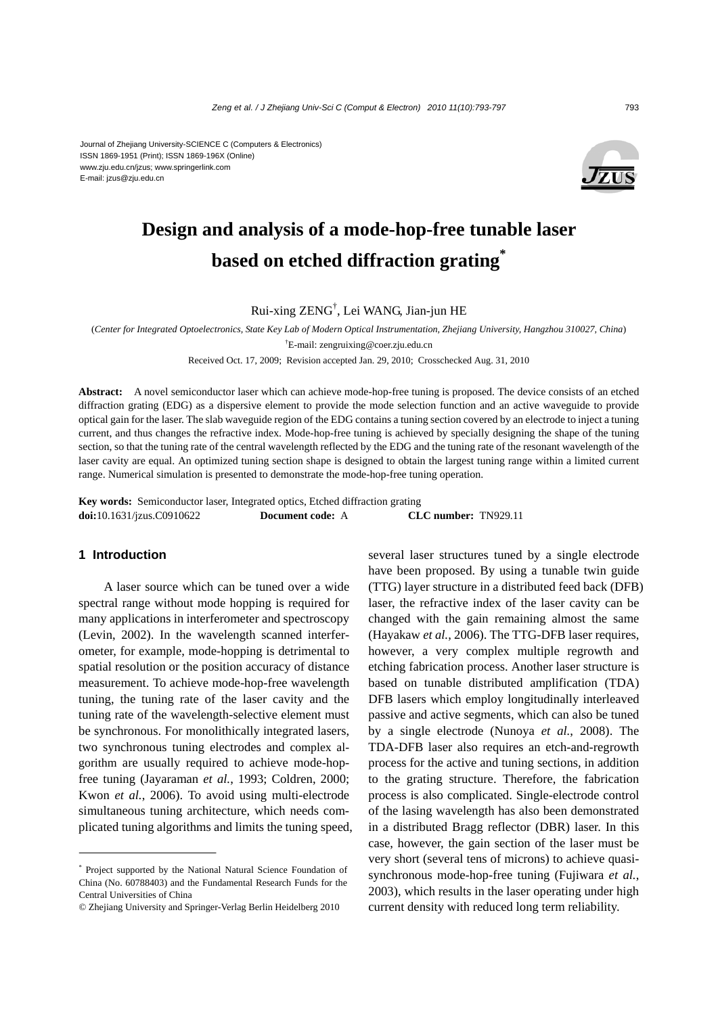E-mail: jzus@zju.edu.cn



# **Design and analysis of a mode-hop-free tunable laser based on etched diffraction grating\***

Rui-xing ZENG† , Lei WANG, Jian-jun HE

(*Center for Integrated Optoelectronics, State Key Lab of Modern Optical Instrumentation, Zhejiang University, Hangzhou 310027, China*) † E-mail: zengruixing@coer.zju.edu.cn

Received Oct. 17, 2009; Revision accepted Jan. 29, 2010; Crosschecked Aug. 31, 2010

**Abstract:** A novel semiconductor laser which can achieve mode-hop-free tuning is proposed. The device consists of an etched diffraction grating (EDG) as a dispersive element to provide the mode selection function and an active waveguide to provide optical gain for the laser. The slab waveguide region of the EDG contains a tuning section covered by an electrode to inject a tuning current, and thus changes the refractive index. Mode-hop-free tuning is achieved by specially designing the shape of the tuning section, so that the tuning rate of the central wavelength reflected by the EDG and the tuning rate of the resonant wavelength of the laser cavity are equal. An optimized tuning section shape is designed to obtain the largest tuning range within a limited current range. Numerical simulation is presented to demonstrate the mode-hop-free tuning operation.

**Key words:** Semiconductor laser, Integrated optics, Etched diffraction grating **doi:**10.1631/jzus.C0910622 **Document code:** A **CLC number:** TN929.11

### **1 Introduction**

A laser source which can be tuned over a wide spectral range without mode hopping is required for many applications in interferometer and spectroscopy (Levin, 2002). In the wavelength scanned interferometer, for example, mode-hopping is detrimental to spatial resolution or the position accuracy of distance measurement. To achieve mode-hop-free wavelength tuning, the tuning rate of the laser cavity and the tuning rate of the wavelength-selective element must be synchronous. For monolithically integrated lasers, two synchronous tuning electrodes and complex algorithm are usually required to achieve mode-hopfree tuning (Jayaraman *et al.*, 1993; Coldren, 2000; Kwon *et al.*, 2006). To avoid using multi-electrode simultaneous tuning architecture, which needs complicated tuning algorithms and limits the tuning speed, several laser structures tuned by a single electrode have been proposed. By using a tunable twin guide (TTG) layer structure in a distributed feed back (DFB) laser, the refractive index of the laser cavity can be changed with the gain remaining almost the same (Hayakaw *et al.*, 2006). The TTG-DFB laser requires, however, a very complex multiple regrowth and etching fabrication process. Another laser structure is based on tunable distributed amplification (TDA) DFB lasers which employ longitudinally interleaved passive and active segments, which can also be tuned by a single electrode (Nunoya *et al.*, 2008). The TDA-DFB laser also requires an etch-and-regrowth process for the active and tuning sections, in addition to the grating structure. Therefore, the fabrication process is also complicated. Single-electrode control of the lasing wavelength has also been demonstrated in a distributed Bragg reflector (DBR) laser. In this case, however, the gain section of the laser must be very short (several tens of microns) to achieve quasisynchronous mode-hop-free tuning (Fujiwara *et al.*, 2003), which results in the laser operating under high current density with reduced long term reliability.

<sup>\*</sup> Project supported by the National Natural Science Foundation of China (No. 60788403) and the Fundamental Research Funds for the Central Universities of China

<sup>©</sup> Zhejiang University and Springer-Verlag Berlin Heidelberg 2010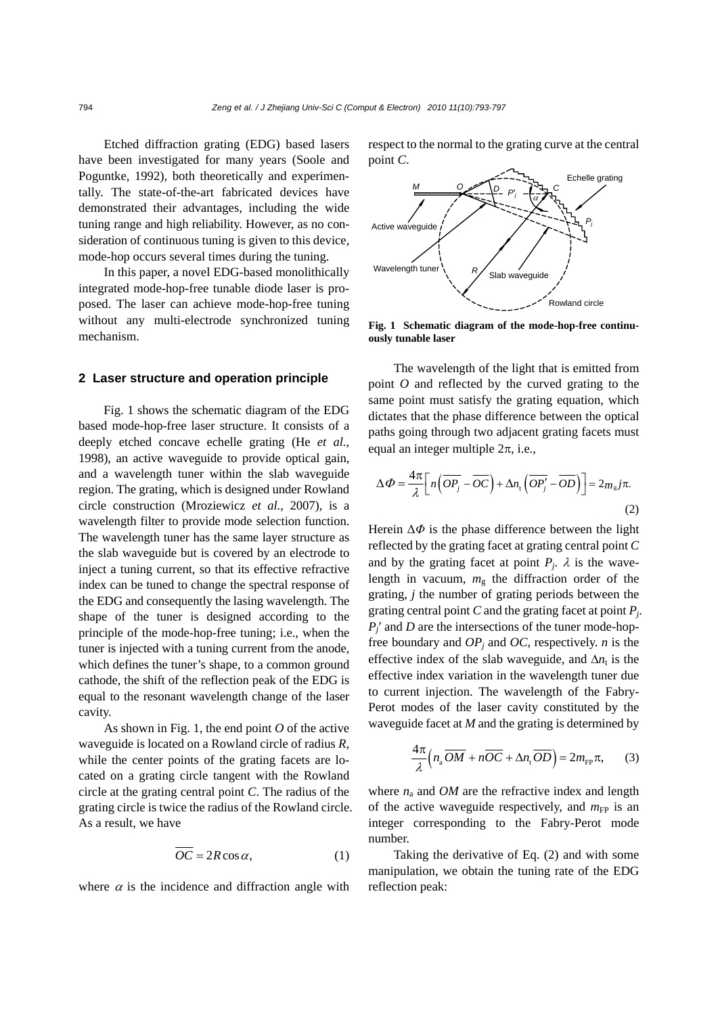Etched diffraction grating (EDG) based lasers have been investigated for many years (Soole and Poguntke, 1992), both theoretically and experimentally. The state-of-the-art fabricated devices have demonstrated their advantages, including the wide tuning range and high reliability. However, as no consideration of continuous tuning is given to this device, mode-hop occurs several times during the tuning.

In this paper, a novel EDG-based monolithically integrated mode-hop-free tunable diode laser is proposed. The laser can achieve mode-hop-free tuning without any multi-electrode synchronized tuning mechanism.

#### **2 Laser structure and operation principle**

Fig. 1 shows the schematic diagram of the EDG based mode-hop-free laser structure. It consists of a deeply etched concave echelle grating (He *et al.*, 1998), an active waveguide to provide optical gain, and a wavelength tuner within the slab waveguide region. The grating, which is designed under Rowland circle construction (Mroziewicz *et al.*, 2007), is a wavelength filter to provide mode selection function. The wavelength tuner has the same layer structure as the slab waveguide but is covered by an electrode to inject a tuning current, so that its effective refractive index can be tuned to change the spectral response of the EDG and consequently the lasing wavelength. The shape of the tuner is designed according to the principle of the mode-hop-free tuning; i.e., when the tuner is injected with a tuning current from the anode, which defines the tuner's shape, to a common ground cathode, the shift of the reflection peak of the EDG is equal to the resonant wavelength change of the laser cavity.

As shown in Fig. 1, the end point *O* of the active waveguide is located on a Rowland circle of radius *R*, while the center points of the grating facets are located on a grating circle tangent with the Rowland circle at the grating central point *C*. The radius of the grating circle is twice the radius of the Rowland circle. As a result, we have

$$
\overline{OC} = 2R\cos\alpha,\tag{1}
$$

where  $\alpha$  is the incidence and diffraction angle with

respect to the normal to the grating curve at the central point *C*.



**Fig. 1 Schematic diagram of the mode-hop-free continuously tunable laser**

The wavelength of the light that is emitted from point *O* and reflected by the curved grating to the same point must satisfy the grating equation, which dictates that the phase difference between the optical paths going through two adjacent grating facets must equal an integer multiple  $2\pi$ , i.e.,

$$
\Delta \Phi = \frac{4\pi}{\lambda} \Big[ n \Big( \overline{OP_j} - \overline{OC} \Big) + \Delta n_t \Big( \overline{OP_j'} - \overline{OD} \Big) \Big] = 2 m_s j \pi.
$$
\n(2)

Herein  $\Delta \Phi$  is the phase difference between the light reflected by the grating facet at grating central point *C* and by the grating facet at point  $P_i$ .  $\lambda$  is the wavelength in vacuum,  $m_g$  the diffraction order of the grating, *j* the number of grating periods between the grating central point *C* and the grating facet at point *Pj*. *Pj*′ and *D* are the intersections of the tuner mode-hopfree boundary and  $OP<sub>j</sub>$  and  $OC$ , respectively. *n* is the effective index of the slab waveguide, and  $\Delta n_t$  is the effective index variation in the wavelength tuner due to current injection. The wavelength of the Fabry-Perot modes of the laser cavity constituted by the waveguide facet at *M* and the grating is determined by

$$
\frac{4\pi}{\lambda} \Big( n_{\rm a} \overline{OM} + n\overline{OC} + \Delta n_{\rm t} \overline{OD} \Big) = 2m_{\rm FP} \pi, \qquad (3)
$$

where  $n_a$  and *OM* are the refractive index and length of the active waveguide respectively, and  $m_{FP}$  is an integer corresponding to the Fabry-Perot mode number.

Taking the derivative of Eq. (2) and with some manipulation, we obtain the tuning rate of the EDG reflection peak: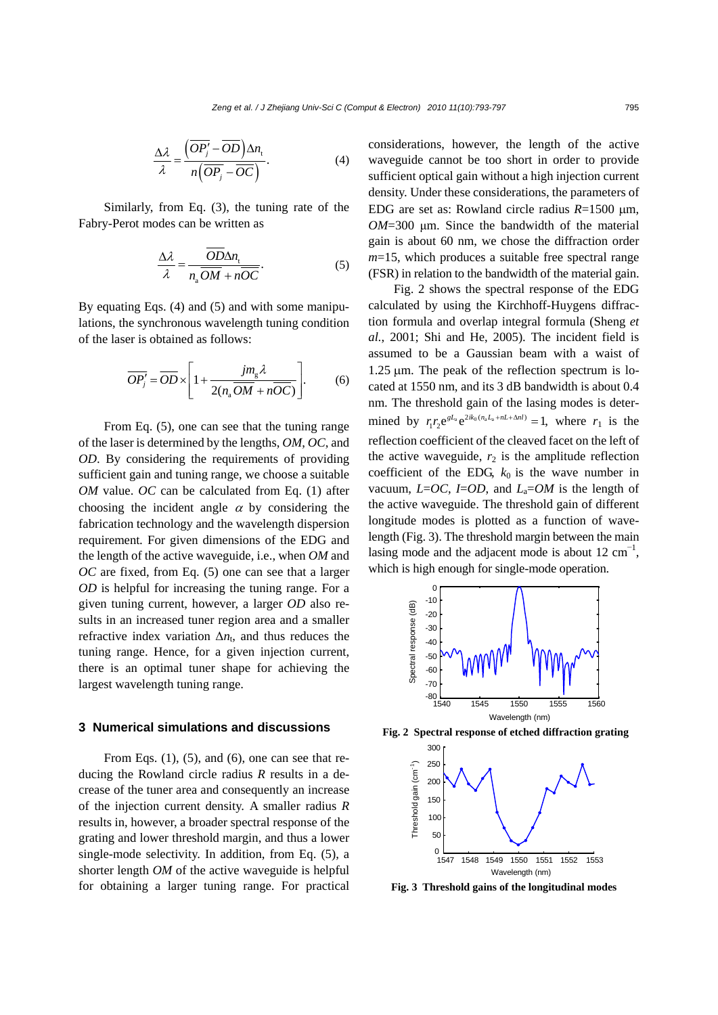$$
\frac{\Delta \lambda}{\lambda} = \frac{\left(\overline{OP'_j} - \overline{OD}\right)\Delta n_t}{n\left(\overline{OP_j} - \overline{OC}\right)}.
$$
\n(4)

Similarly, from Eq. (3), the tuning rate of the Fabry-Perot modes can be written as

$$
\frac{\Delta \lambda}{\lambda} = \frac{\overline{OD} \Delta n_{\rm t}}{n_{\rm a} \overline{OM} + n \overline{OC}}.
$$
 (5)

By equating Eqs. (4) and (5) and with some manipulations, the synchronous wavelength tuning condition of the laser is obtained as follows:

$$
\overline{OP_j'} = \overline{OD} \times \left[ 1 + \frac{j m_g \lambda}{2(n_a \overline{OM} + n \overline{OC})} \right].
$$
 (6)

From Eq. (5), one can see that the tuning range of the laser is determined by the lengths, *OM*, *OC*, and *OD*. By considering the requirements of providing sufficient gain and tuning range, we choose a suitable *OM* value. *OC* can be calculated from Eq. (1) after choosing the incident angle  $\alpha$  by considering the fabrication technology and the wavelength dispersion requirement*.* For given dimensions of the EDG and the length of the active waveguide, i.e., when *OM* and *OC* are fixed, from Eq. (5) one can see that a larger *OD* is helpful for increasing the tuning range. For a given tuning current, however, a larger *OD* also results in an increased tuner region area and a smaller refractive index variation  $\Delta n_t$ , and thus reduces the tuning range. Hence, for a given injection current, there is an optimal tuner shape for achieving the largest wavelength tuning range.

#### **3 Numerical simulations and discussions**

From Eqs.  $(1)$ ,  $(5)$ , and  $(6)$ , one can see that reducing the Rowland circle radius *R* results in a decrease of the tuner area and consequently an increase of the injection current density. A smaller radius *R* results in, however, a broader spectral response of the grating and lower threshold margin, and thus a lower single-mode selectivity. In addition, from Eq. (5), a shorter length *OM* of the active waveguide is helpful for obtaining a larger tuning range. For practical considerations, however, the length of the active waveguide cannot be too short in order to provide sufficient optical gain without a high injection current density. Under these considerations, the parameters of EDG are set as: Rowland circle radius *R*=1500 μm, *OM*=300 μm. Since the bandwidth of the material gain is about 60 nm, we chose the diffraction order *m*=15, which produces a suitable free spectral range (FSR) in relation to the bandwidth of the material gain.

Fig. 2 shows the spectral response of the EDG calculated by using the Kirchhoff-Huygens diffraction formula and overlap integral formula (Sheng *et al.*, 2001; Shi and He, 2005). The incident field is assumed to be a Gaussian beam with a waist of 1.25 μm. The peak of the reflection spectrum is located at 1550 nm, and its 3 dB bandwidth is about 0.4 nm. The threshold gain of the lasing modes is determined by  $r_1 r_2 e^{gL_a} e^{2ik_0 (n_a L_a + nL + \Delta n l)} = 1$ , where  $r_1$  is the reflection coefficient of the cleaved facet on the left of the active waveguide,  $r_2$  is the amplitude reflection coefficient of the EDG,  $k_0$  is the wave number in vacuum,  $L=OC$ ,  $I=OD$ , and  $L_a=OM$  is the length of the active waveguide. The threshold gain of different longitude modes is plotted as a function of wavelength (Fig. 3). The threshold margin between the main lasing mode and the adjacent mode is about  $12 \text{ cm}^{-1}$ , which is high enough for single-mode operation.



**Fig. 2 Spectral response of etched diffraction grating**



**Fig. 3 Threshold gains of the longitudinal modes**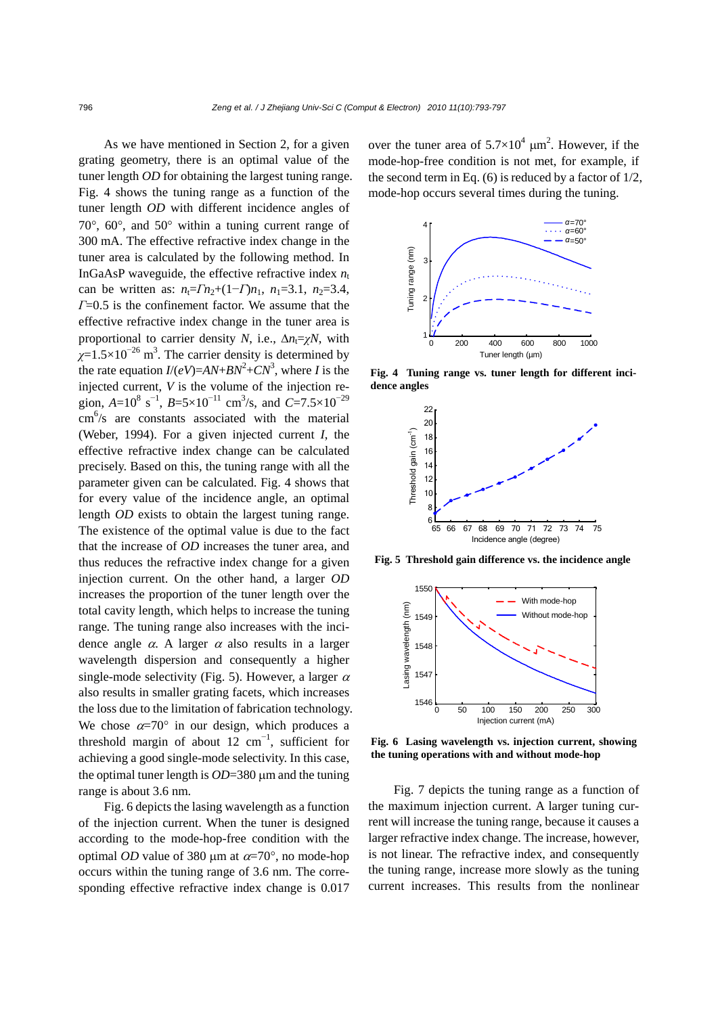As we have mentioned in Section 2, for a given grating geometry, there is an optimal value of the tuner length *OD* for obtaining the largest tuning range. Fig. 4 shows the tuning range as a function of the tuner length *OD* with different incidence angles of 70°, 60°, and 50° within a tuning current range of 300 mA. The effective refractive index change in the tuner area is calculated by the following method. In InGaAsP waveguide, the effective refractive index  $n_t$ can be written as:  $n_1 = \Gamma n_2 + (1 - \Gamma)n_1$ ,  $n_1 = 3.1$ ,  $n_2 = 3.4$ , *Γ*=0.5 is the confinement factor. We assume that the effective refractive index change in the tuner area is proportional to carrier density *N*, i.e.,  $\Delta n_i = \gamma N$ , with  $\chi$ =1.5×10<sup>-26</sup> m<sup>3</sup>. The carrier density is determined by the rate equation  $I/(eV) = AN + BN^2 + CN^3$ , where *I* is the injected current, *V* is the volume of the injection region,  $A=10^8$  s<sup>-1</sup>,  $B=5\times10^{-11}$  cm<sup>3</sup>/s, and  $C=7.5\times10^{-29}$ cm 6 /s are constants associated with the material (Weber, 1994). For a given injected current *I*, the effective refractive index change can be calculated precisely. Based on this, the tuning range with all the parameter given can be calculated. Fig. 4 shows that for every value of the incidence angle, an optimal length *OD* exists to obtain the largest tuning range. The existence of the optimal value is due to the fact that the increase of *OD* increases the tuner area, and thus reduces the refractive index change for a given injection current. On the other hand, a larger *OD* increases the proportion of the tuner length over the total cavity length, which helps to increase the tuning range. The tuning range also increases with the incidence angle  $\alpha$ . A larger  $\alpha$  also results in a larger wavelength dispersion and consequently a higher single-mode selectivity (Fig. 5). However, a larger  $\alpha$ also results in smaller grating facets, which increases the loss due to the limitation of fabrication technology. We chose  $\alpha = 70^{\circ}$  in our design, which produces a threshold margin of about 12  $cm^{-1}$ , sufficient for achieving a good single-mode selectivity. In this case, the optimal tuner length is *OD*=380 μm and the tuning range is about 3.6 nm.

Fig. 6 depicts the lasing wavelength as a function of the injection current. When the tuner is designed according to the mode-hop-free condition with the optimal *OD* value of 380 μm at  $\alpha = 70^\circ$ , no mode-hop occurs within the tuning range of 3.6 nm. The corresponding effective refractive index change is 0.017

over the tuner area of  $5.7 \times 10^4$   $\mu$ m<sup>2</sup>. However, if the mode-hop-free condition is not met, for example, if the second term in Eq.  $(6)$  is reduced by a factor of  $1/2$ , mode-hop occurs several times during the tuning.



**Fig. 4 Tuning range vs. tuner length for different incidence angles**



**Fig. 5 Threshold gain difference vs. the incidence angle**



**Fig. 6 Lasing wavelength vs. injection current, showing the tuning operations with and without mode-hop** 

Fig. 7 depicts the tuning range as a function of the maximum injection current. A larger tuning current will increase the tuning range, because it causes a larger refractive index change. The increase, however, is not linear. The refractive index, and consequently the tuning range, increase more slowly as the tuning current increases. This results from the nonlinear